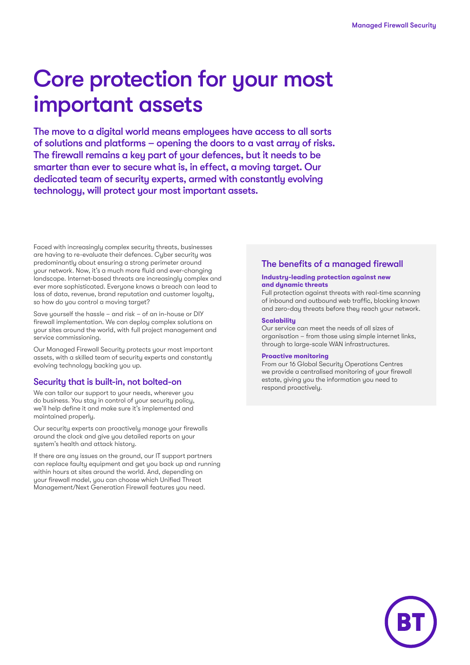# Core protection for your most important assets

The move to a digital world means employees have access to all sorts of solutions and platforms – opening the doors to a vast array of risks. The firewall remains a key part of your defences, but it needs to be smarter than ever to secure what is, in effect, a moving target. Our dedicated team of security experts, armed with constantly evolving technology, will protect your most important assets.

Faced with increasingly complex security threats, businesses are having to re-evaluate their defences. Cyber security was predominantly about ensuring a strong perimeter around your network. Now, it's a much more fluid and ever-changing landscape. Internet-based threats are increasingly complex and ever more sophisticated. Everyone knows a breach can lead to loss of data, revenue, brand reputation and customer loyalty, so how do you control a moving target?

Save yourself the hassle – and risk – of an in-house or DIY firewall implementation. We can deploy complex solutions on your sites around the world, with full project management and service commissioning.

Our Managed Firewall Security protects your most important assets, with a skilled team of security experts and constantly evolving technology backing you up.

#### Security that is built-in, not bolted-on

We can tailor our support to your needs, wherever you do business. You stay in control of your security policy, we'll help define it and make sure it's implemented and maintained properly.

Our security experts can proactively manage your firewalls around the clock and give you detailed reports on your system's health and attack history.

If there are any issues on the ground, our IT support partners can replace faulty equipment and get you back up and running within hours at sites around the world. And, depending on your firewall model, you can choose which Unified Threat Management/Next Generation Firewall features you need.

#### The benefits of a managed firewall

#### **Industry-leading protection against new and dynamic threats**

Full protection against threats with real-time scanning of inbound and outbound web traffic, blocking known and zero-day threats before they reach your network.

#### **Scalability**

Our service can meet the needs of all sizes of organisation – from those using simple internet links, through to large-scale WAN infrastructures.

#### **Proactive monitoring**

From our 16 Global Security Operations Centres we provide a centralised monitoring of your firewall estate, giving you the information you need to respond proactively.